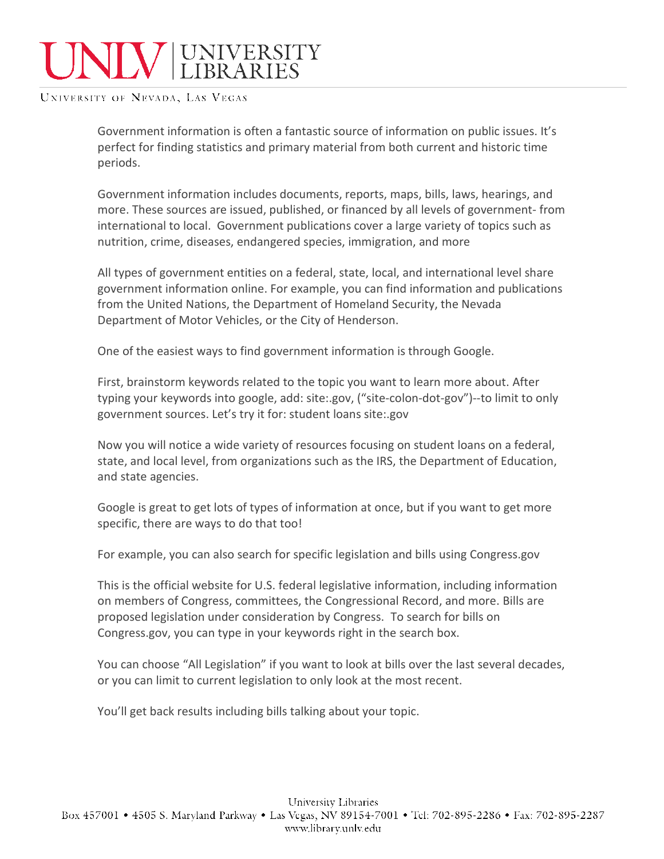## **WEIGHTY** UNIVERSITY

UNIVERSITY OF NEVADA, LAS VEGAS

Government information is often a fantastic source of information on public issues. It's perfect for finding statistics and primary material from both current and historic time periods.

Government information includes documents, reports, maps, bills, laws, hearings, and more. These sources are issued, published, or financed by all levels of government- from international to local. Government publications cover a large variety of topics such as nutrition, crime, diseases, endangered species, immigration, and more

All types of government entities on a federal, state, local, and international level share government information online. For example, you can find information and publications from the United Nations, the Department of Homeland Security, the Nevada Department of Motor Vehicles, or the City of Henderson.

One of the easiest ways to find government information is through Google.

First, brainstorm keywords related to the topic you want to learn more about. After typing your keywords into google, add: site:.gov, ("site-colon-dot-gov")--to limit to only government sources. Let's try it for: student loans site:.gov

Now you will notice a wide variety of resources focusing on student loans on a federal, state, and local level, from organizations such as the IRS, the Department of Education, and state agencies.

Google is great to get lots of types of information at once, but if you want to get more specific, there are ways to do that too!

For example, you can also search for specific legislation and bills using Congress.gov

This is the official website for U.S. federal legislative information, including information on members of Congress, committees, the Congressional Record, and more. Bills are proposed legislation under consideration by Congress. To search for bills on Congress.gov, you can type in your keywords right in the search box.

You can choose "All Legislation" if you want to look at bills over the last several decades, or you can limit to current legislation to only look at the most recent.

You'll get back results including bills talking about your topic.